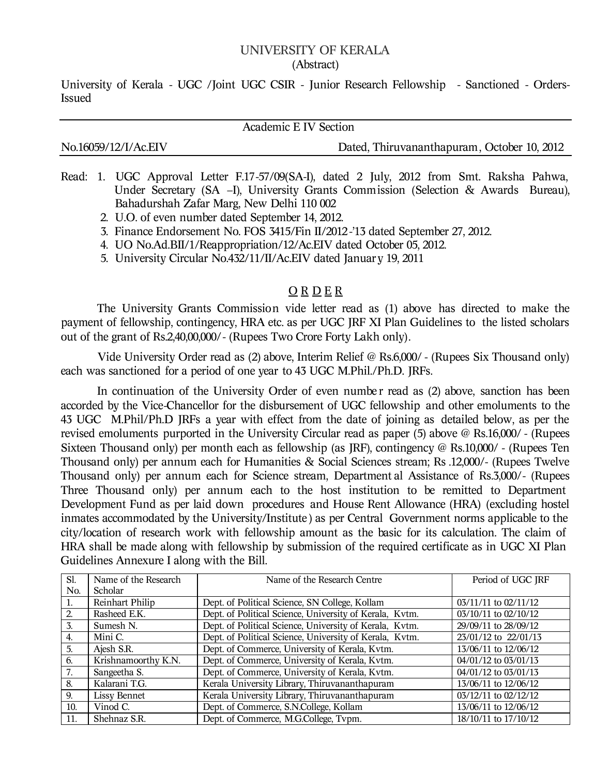## **UNIVERSITY OF KERALA** (Abstract)

University of Kerala - UGC /Joint UGC CSIR - Junior Research Fellowship - Sanctioned - Orders-Issued

**Academic E IV Section**

No.16059/12/I/Ac.EIV Dated, Thiruvananthapuram, October 10, 2012

- Read: 1. UGC Approval Letter F.17-57/09(SA-I), dated 2 July, 2012 from Smt. Raksha Pahwa, Under Secretary (SA –I), University Grants Commission (Selection & Awards Bureau), Bahadurshah Zafar Marg, New Delhi 110 002
	- 2. U.O. of even number dated September 14, 2012.
	- 3. Finance Endorsement No. FOS 3415/Fin II/2012 -'13 dated September 27, 2012.
	- 4. UO No.Ad.BII/1/Reappropriation/12/Ac.EIV dated October 05, 2012.
	- 5. University Circular No.432/11/II/Ac.EIV dated Januar y 19, 2011

## **O R D E R**

The University Grants Commission vide letter read as (1) above has directed to make the payment of fellowship, contingency, HRA etc. as per UGC JRF XI Plan Guidelines to the listed scholars out of the grant of Rs.2,40,00,000/ - (Rupees Two Crore Forty Lakh only).

Vide University Order read as (2) above, Interim Relief @ Rs.6,000/ - (Rupees Six Thousand only) each was sanctioned for a period of one year to 43 UGC M.Phil./Ph.D. JRFs.

In continuation of the University Order of even number read as (2) above, sanction has been accorded by the Vice-Chancellor for the disbursement of UGC fellowship and other emoluments to the 43 UGC M.Phil/Ph.D JRFs a year with effect from the date of joining as detailed below, as per the revised emoluments purported in the University Circular read as paper (5) above @ Rs.16,000/ - (Rupees Sixteen Thousand only) per month each as fellowship (as JRF), contingency @ Rs.10,000/ - (Rupees Ten Thousand only) per annum each for Humanities & Social Sciences stream; Rs .12,000/- (Rupees Twelve Thousand only) per annum each for Science stream, Department al Assistance of Rs.3,000/- (Rupees Three Thousand only) per annum each to the host institution to be remitted to Department Development Fund as per laid down procedures and House Rent Allowance (HRA) (*excluding hostel inmates accommodated by the University/Institute )* as per Central Government norms applicable to the city/location of research work with fellowship amount as the basic for its calculation. The claim of HRA shall be made along with fellowship by submission of the required certificate as in UGC XI Plan Guidelines Annexure I along with the Bill.

| Sl.            | Name of the Research | Name of the Research Centre                             | Period of UGC JRF    |
|----------------|----------------------|---------------------------------------------------------|----------------------|
| No.            | Scholar              |                                                         |                      |
| 1.             | Reinhart Philip      | Dept. of Political Science, SN College, Kollam          | 03/11/11 to 02/11/12 |
| $\overline{2}$ | Rasheed E.K.         | Dept. of Political Science, University of Kerala, Kvtm. | 03/10/11 to 02/10/12 |
| 3.             | Sumesh N.            | Dept. of Political Science, University of Kerala, Kvtm. | 29/09/11 to 28/09/12 |
| 4.             | Mini C.              | Dept. of Political Science, University of Kerala, Kvtm. | 23/01/12 to 22/01/13 |
| 5.             | Ajesh S.R.           | Dept. of Commerce, University of Kerala, Kvtm.          | 13/06/11 to 12/06/12 |
| 6.             | Krishnamoorthy K.N.  | Dept. of Commerce, University of Kerala, Kvtm.          | 04/01/12 to 03/01/13 |
| 7.             | Sangeetha S.         | Dept. of Commerce, University of Kerala, Kvtm.          | 04/01/12 to 03/01/13 |
| 8.             | Kalarani T.G.        | Kerala University Library, Thiruvananthapuram           | 13/06/11 to 12/06/12 |
| 9.             | Lissy Bennet         | Kerala University Library, Thiruvananthapuram           | 03/12/11 to 02/12/12 |
| 10.            | Vinod C.             | Dept. of Commerce, S.N.College, Kollam                  | 13/06/11 to 12/06/12 |
| 11.            | Shehnaz S.R.         | Dept. of Commerce, M.G.College, Tvpm.                   | 18/10/11 to 17/10/12 |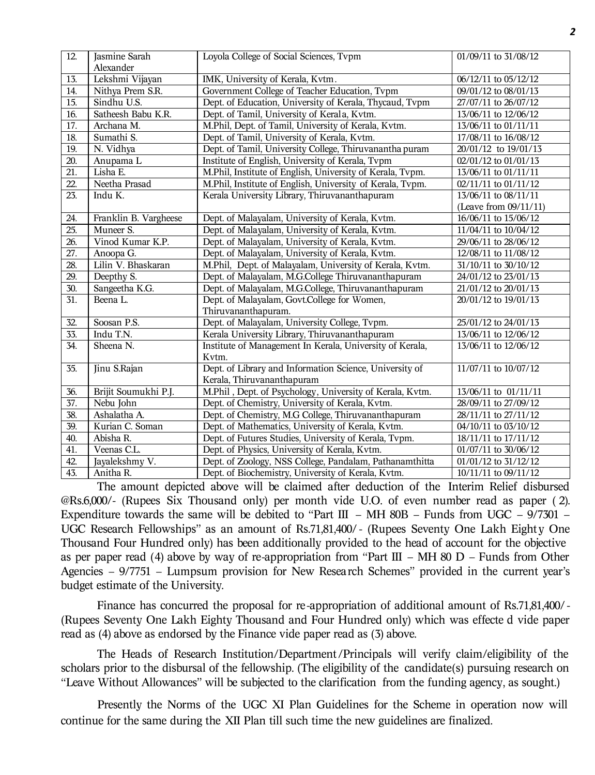| 12.               | Jasmine Sarah<br>Alexander | Loyola College of Social Sciences, Tvpm                   | 01/09/11 to 31/08/12              |
|-------------------|----------------------------|-----------------------------------------------------------|-----------------------------------|
| 13.               | Lekshmi Vijayan            | IMK, University of Kerala, Kvtm.                          | 06/12/11 to 05/12/12              |
| 14.               | Nithya Prem S.R.           | Government College of Teacher Education, Tvpm             | 09/01/12 to 08/01/13              |
| $\overline{15}$ . | Sindhu U.S.                | Dept. of Education, University of Kerala, Thycaud, Tvpm   | 27/07/11 to 26/07/12              |
| 16.               | Satheesh Babu K.R.         | Dept. of Tamil, University of Kerala, Kvtm.               | 13/06/11 to 12/06/12              |
| $\overline{17}$ . | Archana M.                 | M.Phil, Dept. of Tamil, University of Kerala, Kvtm.       | 13/06/11 to 01/11/11              |
| 18.               | Sumathi S.                 | Dept. of Tamil, University of Kerala, Kvtm.               | 17/08/11 to 16/08/12              |
| 19.               | N. Vidhya                  | Dept. of Tamil, University College, Thiruvanantha puram   | 20/01/12 to 19/01/13              |
| 20.               | Anupama L                  | Institute of English, University of Kerala, Tvpm          | 02/01/12 to 01/01/13              |
| $\overline{21}$ . | Lisha E.                   | M.Phil, Institute of English, University of Kerala, Tvpm. | 13/06/11 to 01/11/11              |
| 22.               | Neetha Prasad              | M.Phil, Institute of English, University of Kerala, Tvpm. | 02/11/11 to 01/11/12              |
| $\overline{23}$ . | Indu K.                    | Kerala University Library, Thiruvananthapuram             | 13/06/11 to 08/11/11              |
|                   |                            |                                                           | (Leave from 09/11/11)             |
| 24.               | Franklin B. Vargheese      | Dept. of Malayalam, University of Kerala, Kvtm.           | 16/06/11 to 15/06/12              |
| $\overline{25}$ . | Muneer S.                  | Dept. of Malayalam, University of Kerala, Kvtm.           | 11/04/11 to 10/04/12              |
| $\overline{26}$ . | Vinod Kumar K.P.           | Dept. of Malayalam, University of Kerala, Kvtm.           | 29/06/11 to 28/06/12              |
| 27.               | Anoopa G.                  | Dept. of Malayalam, University of Kerala, Kvtm.           | 12/08/11 to 11/08/12              |
| $\overline{28}$   | Lilin V. Bhaskaran         | M.Phil, Dept. of Malayalam, University of Kerala, Kvtm.   | 31/10/11 to 30/10/12              |
| 29.               | Deepthy S.                 | Dept. of Malayalam, M.G.College Thiruvananthapuram        | 24/01/12 to 23/01/13              |
| 30.               | Sangeetha K.G.             | Dept. of Malayalam, M.G.College, Thiruvananthapuram       | 21/01/12 to 20/01/13              |
| 31.               | Beena L.                   | Dept. of Malayalam, Govt.College for Women,               | 20/01/12 to 19/01/13              |
|                   |                            | Thiruvananthapuram.                                       |                                   |
| 32.               | Soosan P.S.                | Dept. of Malayalam, University College, Tvpm.             | 25/01/12 to 24/01/13              |
| 33.               | Indu T.N.                  | Kerala University Library, Thiruvananthapuram             | 13/06/11 to 12/06/12              |
| 34.               | Sheena N.                  | Institute of Management In Kerala, University of Kerala,  | 13/06/11 to 12/06/12              |
|                   |                            | Kvtm.                                                     |                                   |
| 35.               | Jinu S.Rajan               | Dept. of Library and Information Science, University of   | 11/07/11 to 10/07/12              |
|                   |                            | Kerala, Thiruvananthapuram                                |                                   |
| 36.               | Brijit Soumukhi P.J.       | M.Phil, Dept. of Psychology, University of Kerala, Kvtm.  | 13/06/11 to 01/11/11              |
| 37.               | Nebu John                  | Dept. of Chemistry, University of Kerala, Kvtm.           | 28/09/11 to 27/09/12              |
| 38.               | Ashalatha A.               | Dept. of Chemistry, M.G College, Thiruvananthapuram       | 28/11/11 to 27/11/12              |
| 39.               | Kurian C. Soman            | Dept. of Mathematics, University of Kerala, Kvtm.         | 04/10/11 to 03/10/12              |
| 40.               | Abisha R.                  | Dept. of Futures Studies, University of Kerala, Tvpm.     | 18/11/11 to 17/11/12              |
| 41.               | Veenas C.L.                | Dept. of Physics, University of Kerala, Kvtm.             | $\overline{01/07/11}$ to 30/06/12 |
| 42.               | Jayalekshmy V.             | Dept. of Zoology, NSS College, Pandalam, Pathanamthitta   | 01/01/12 to 31/12/12              |
| 43.               | Anitha R.                  | Dept. of Biochemistry, University of Kerala, Kvtm.        | 10/11/11 to 09/11/12              |

The amount depicted above will be claimed after deduction of the *Interim Relief* disbursed @Rs.6,000/[- \(Rup](@Rs.6)ees Six Thousand only) per month vide U.O. of even number read as paper ( 2). Expenditure towards the same will be debited to "Part III – MH 80B – Funds from UGC –  $9/7301$  – UGC Research Fellowships" as an amount of Rs.71,81,400/ - (Rupees Seventy One Lakh Eight y One Thousand Four Hundred only) has been additionally provided to the head of account for the objective as per paper read (4) above by way of re-appropriation from "Part III – MH 80 D – Funds from Other Agencies – 9/7751 – Lumpsum provision for New Resea rch Schemes" provided in the current year's budget estimate of the University.

Finance has concurred the proposal for re -appropriation of additional amount of Rs.71,81,400/ - (Rupees Seventy One Lakh Eighty Thousand and Four Hundred only) which was effecte d vide paper read as (4) above as endorsed by the Finance vide paper read as (3) above.

The Heads of Research Institution/Department /Principals will verify claim/eligibility of the scholars prior to the disbursal of the fellowship. (The eligibility of the candidate(s) pursuing research on "Leave Without Allowances" will be subjected to the clarification from the funding agency, as sought.)

Presently the Norms of the UGC XI Plan Guidelines for the Scheme in operation now will continue for the same during the XII Plan till such time the new guidelines are finalized.